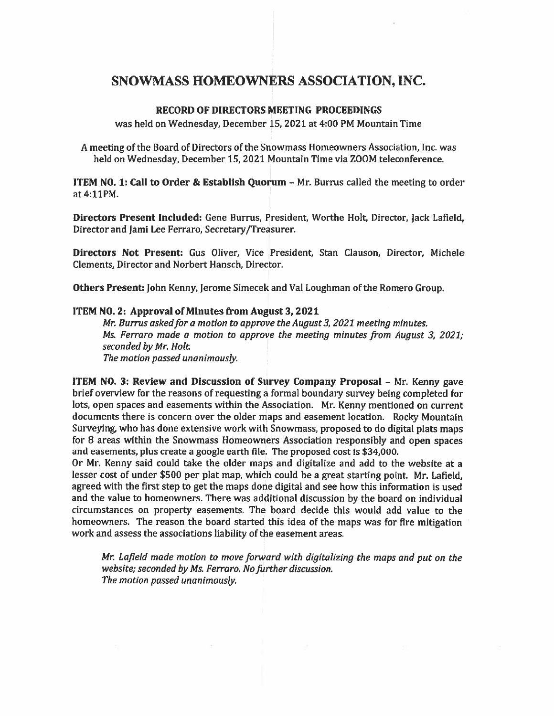## SNOWMASS HOMEOWNERS ASSOCIATION, INC.

## RECORD OF DIRECTORS MEETING PROCEEDINGS

was held on Wednesday, December 15, 2021 at 4:00 PM Mountain Time

A meeting of the Board of Directors of the Snowmass Homeowners Association, Inc. was held on Wednesday, December 15, 2021 Mountain Time via ZOOM teleconference.

ITEM NO. 1: Call to Order & Establish Quorum — Mr. Burrus called the meeting to order at 4:11PM.

Directors Present Included: Gene Burrus, President, Worthe Holt, Director, Jack Lafleld, Director and Jami Lee Ferraro, Secretary/Treasurer.

Directors Not Present: Gus Oliver, Vice President, Stan Clauson, Director, Michele Clements, Director and Norbert Hansch, Director.

Others Present: John Kenny, Jerome Simecek and Val Loughman of the Romero Group.

## ITEM NO.2: Approval of Minutes from August 3,2021

Mr. Burrus asked for a motion to approve the August 3, 2021 meeting minutes. Ms. Ferraro made <sup>a</sup> motion to approve the meeting minutes from August 3, 2021; seconded by Mr. Holt. The motion passed unanimously.

ITEM NO. 3: Review and Discussion of Survey Company Proposal – Mr. Kenny gave brief overview for the reasons of requesting <sup>a</sup> formal boundary survey being completed for lots, open spaces and easements within the Association. Mr. Kenny mentioned on current documents there is concern over the older maps and easement location. Rocky Mountain Surveying, who has done extensive work with Snowmass, propose<sup>d</sup> to do digital <sup>p</sup>lats maps for <sup>8</sup> areas within the Snowmass Homeowners Association responsibly and open spaces and easements, plus create a google earth file. The proposed cost is \$34,000.

Or Mr. Kenny said could take the older maps and digitalize and add to the website at <sup>a</sup> lesser cost of under \$500 per plat map, which could be a great starting point. Mr. Lafield, agreed with the first step to ge<sup>t</sup> the maps done digital and see how this information is used and the value to homeowners. There was additional discussion by the board on individual circumstances on property easements. The board decide this would add value to the homeowners. The reason the board started this idea of the maps was for fire mitigation work and assess the associations liability of the easement areas.

Mr. Lafield made motion to move forward with digitalizing the maps and put on the website; seconded by Ms. Ferraro. No further discussion. The motion passed unanimously.